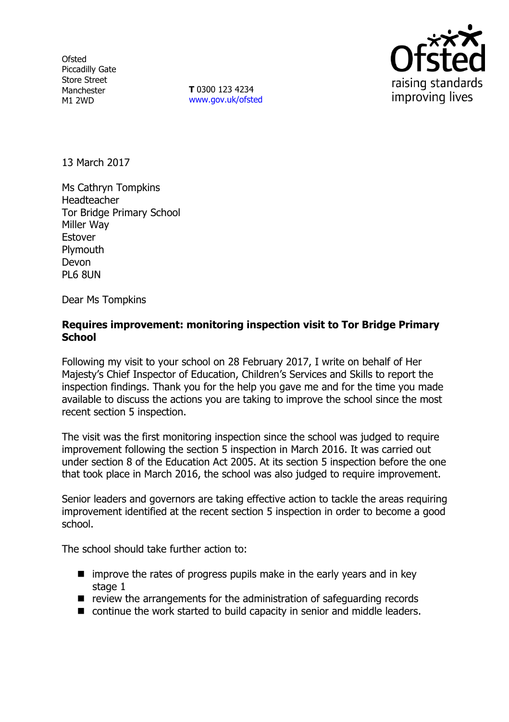**Ofsted** Piccadilly Gate Store Street Manchester M1 2WD

**T** 0300 123 4234 www.gov.uk/ofsted



13 March 2017

Ms Cathryn Tompkins Headteacher Tor Bridge Primary School Miller Way Estover **Plymouth** Devon PL6 8UN

Dear Ms Tompkins

## **Requires improvement: monitoring inspection visit to Tor Bridge Primary School**

Following my visit to your school on 28 February 2017, I write on behalf of Her Majesty's Chief Inspector of Education, Children's Services and Skills to report the inspection findings. Thank you for the help you gave me and for the time you made available to discuss the actions you are taking to improve the school since the most recent section 5 inspection.

The visit was the first monitoring inspection since the school was judged to require improvement following the section 5 inspection in March 2016. It was carried out under section 8 of the Education Act 2005. At its section 5 inspection before the one that took place in March 2016, the school was also judged to require improvement.

Senior leaders and governors are taking effective action to tackle the areas requiring improvement identified at the recent section 5 inspection in order to become a good school.

The school should take further action to:

- $\blacksquare$  improve the rates of progress pupils make in the early years and in key stage 1
- $\blacksquare$  review the arrangements for the administration of safeguarding records
- continue the work started to build capacity in senior and middle leaders.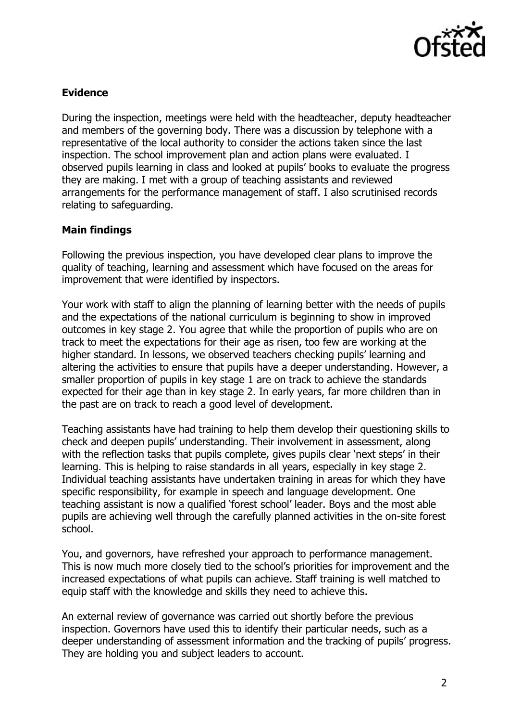

## **Evidence**

During the inspection, meetings were held with the headteacher, deputy headteacher and members of the governing body. There was a discussion by telephone with a representative of the local authority to consider the actions taken since the last inspection. The school improvement plan and action plans were evaluated. I observed pupils learning in class and looked at pupils' books to evaluate the progress they are making. I met with a group of teaching assistants and reviewed arrangements for the performance management of staff. I also scrutinised records relating to safeguarding.

## **Main findings**

Following the previous inspection, you have developed clear plans to improve the quality of teaching, learning and assessment which have focused on the areas for improvement that were identified by inspectors.

Your work with staff to align the planning of learning better with the needs of pupils and the expectations of the national curriculum is beginning to show in improved outcomes in key stage 2. You agree that while the proportion of pupils who are on track to meet the expectations for their age as risen, too few are working at the higher standard. In lessons, we observed teachers checking pupils' learning and altering the activities to ensure that pupils have a deeper understanding. However, a smaller proportion of pupils in key stage 1 are on track to achieve the standards expected for their age than in key stage 2. In early years, far more children than in the past are on track to reach a good level of development.

Teaching assistants have had training to help them develop their questioning skills to check and deepen pupils' understanding. Their involvement in assessment, along with the reflection tasks that pupils complete, gives pupils clear 'next steps' in their learning. This is helping to raise standards in all years, especially in key stage 2. Individual teaching assistants have undertaken training in areas for which they have specific responsibility, for example in speech and language development. One teaching assistant is now a qualified 'forest school' leader. Boys and the most able pupils are achieving well through the carefully planned activities in the on-site forest school.

You, and governors, have refreshed your approach to performance management. This is now much more closely tied to the school's priorities for improvement and the increased expectations of what pupils can achieve. Staff training is well matched to equip staff with the knowledge and skills they need to achieve this.

An external review of governance was carried out shortly before the previous inspection. Governors have used this to identify their particular needs, such as a deeper understanding of assessment information and the tracking of pupils' progress. They are holding you and subject leaders to account.